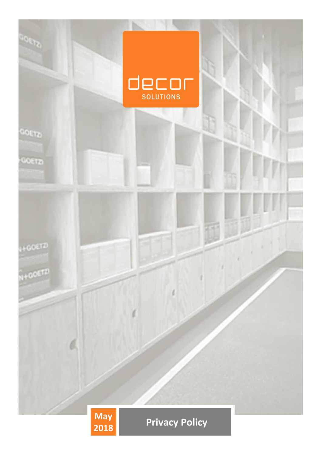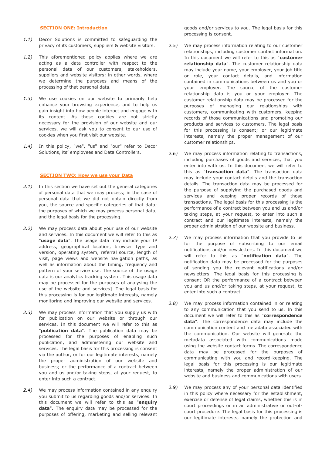# **SECTION ONE: Introduction**

- *1.1)* Decor Solutions is committed to safeguarding the privacy of its customers, suppliers & website visitors.
- *1.2)* This aforementioned policy applies where we are acting as a data controller with respect to the personal data of our customers, stakeholders, suppliers and website visitors; in other words, where we determine the purposes and means of the processing of that personal data.
- *1.3)* We use cookies on our website to primarily help enhance your browsing experience, and to help us gain insight into how people interact and engage with its content. As these cookies are not strictly necessary for the provision of our website and our services, we will ask you to consent to our use of cookies when you first visit our website.
- *1.4)* In this policy, "we", "us" and "our" refer to Decor Solutions, its' employees and Data Controllers.

#### **SECTION TWO: How we use your Data**

- *2.1)* In this section we have set out the general categories of personal data that we may process; in the case of personal data that we did not obtain directly from you, the source and specific categories of that data; the purposes of which we may process personal data; and the legal basis for the processing.
- *2.2)* We may process data about your use of our website and services. In this document we will refer to this as "**usage data**". The usage data may include your IP address, geographical location, browser type and version, operating system, referral source, length of visit, page views and website navigation paths, as well as information about the timing, frequency and pattern of your service use. The source of the usage data is our analytics tracking system. This usage data may be processed for the purposes of analysing the use of the website and services]. The legal basis for this processing is for our legitimate interests, namely monitoring and improving our website and services.
- *2.3)* We may process information that you supply us with for publication on our website or through our services. In this document we will refer to this as "**publication data**". The publication data may be processed for the purposes of enabling such publication, and administering our website and services. The legal basis for this processing is consent via the author, or for our legitimate interests, namely the proper administration of our website and business; or the performance of a contract between you and us and/or taking steps, at your request, to enter into such a contract.
- *2.4)* We may process information contained in any enquiry you submit to us regarding goods and/or services. In this document we will refer to this as "**enquiry data**". The enquiry data may be processed for the purposes of offering, marketing and selling relevant

goods and/or services to you. The legal basis for this processing is consent.

- *2.5)* We may process information relating to our customer relationships, including customer contact information. In this document we will refer to this as "**customer relationship data**". The customer relationship data may include your name, your employer, your job title or role, your contact details, and information contained in communications between us and you or your employer. The source of the customer relationship data is you or your employer. The customer relationship data may be processed for the purposes of managing our relationships with customers, communicating with customers, keeping records of those communications and promoting our products and services to customers. The legal basis for this processing is consent; or our legitimate interests, namely the proper management of our customer relationships.
- *2.6)* We may process information relating to transactions, including purchases of goods and services, that you enter into with us. In this document we will refer to this as "**transaction data**". The transaction data may include your contact details and the transaction details. The transaction data may be processed for the purpose of supplying the purchased goods and services and keeping proper records of those transactions. The legal basis for this processing is the performance of a contract between you and us and/or taking steps, at your request, to enter into such a contract and our legitimate interests, namely the proper administration of our website and business.
- *2.7)* We may process information that you provide to us for the purpose of subscribing to our email notifications and/or newsletters. In this document we will refer to this as "**notification data**". The notification data may be processed for the purposes of sending you the relevant notifications and/or newsletters. The legal basis for this processing is consent OR the performance of a contract between you and us and/or taking steps, at your request, to enter into such a contract.
- *2.8)* We may process information contained in or relating to any communication that you send to us. In this document we will refer to this as "**correspondence data**". The correspondence data may include the communication content and metadata associated with the communication. Our website will generate the metadata associated with communications made using the website contact forms. The correspondence data may be processed for the purposes of communicating with you and record-keeping. The legal basis for this processing is our legitimate interests, namely the proper administration of our website and business and communications with users.
- *2.9)* We may process any of your personal data identified in this policy where necessary for the establishment, exercise or defense of legal claims, whether this is in court proceedings or in an administrative or out-ofcourt procedure. The legal basis for this processing is our legitimate interests, namely the protection and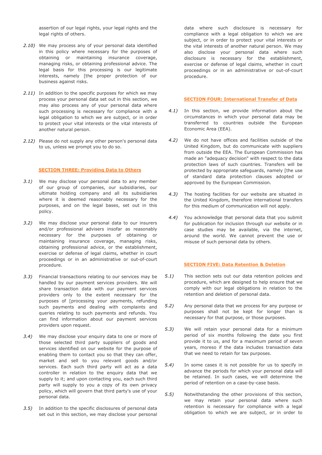assertion of our legal rights, your legal rights and the legal rights of others.

- *2.10)* We may process any of your personal data identified in this policy where necessary for the purposes of obtaining or maintaining insurance coverage, managing risks, or obtaining professional advice. The legal basis for this processing is our legitimate interests, namely [the proper protection of our business against risks.
- *2.11)* In addition to the specific purposes for which we may process your personal data set out in this section, we may also process any of your personal data where such processing is necessary for compliance with a legal obligation to which we are subject, or in order to protect your vital interests or the vital interests of another natural person.
- *2.12)* Please do not supply any other person's personal data to us, unless we prompt you to do so.

### **SECTION THREE: Providing Data to Others**

- *3.1)* We may disclose your personal data to any member of our group of companies, our subsidiaries, our ultimate holding company and all its subsidiaries where it is deemed reasonably necessary for the purposes, and on the legal bases, set out in this policy.
- *3.2)* We may disclose your personal data to our insurers and/or professional advisers insofar as reasonably necessary for the purposes of obtaining or maintaining insurance coverage, managing risks, obtaining professional advice, or the establishment, exercise or defense of legal claims, whether in court proceedings or in an administrative or out-of-court procedure.
- *3.3)* Financial transactions relating to our services may be handled by our payment services providers. We will share transaction data with our payment services providers only to the extent necessary for the purposes of [processing your payments, refunding such payments and dealing with complaints and queries relating to such payments and refunds. You can find information about our payment services providers upon request.
- *3.4)* We may disclose your enquiry data to one or more of those selected third party suppliers of goods and services identified on our website for the purpose of enabling them to contact you so that they can offer, market and sell to you relevant goods and/or services. Each such third party will act as a data controller in relation to the enquiry data that we supply to it; and upon contacting you, each such third party will supply to you a copy of its own privacy policy, which will govern that third party's use of your personal data.
- *3.5)* In addition to the specific disclosures of personal data set out in this section, we may disclose your personal

data where such disclosure is necessary for compliance with a legal obligation to which we are subject, or in order to protect your vital interests or the vital interests of another natural person. We may also disclose your personal data where such disclosure is necessary for the establishment, exercise or defense of legal claims, whether in court proceedings or in an administrative or out-of-court procedure.

# **SECTION FOUR: International Transfer of Data**

- *4.1)* In this section, we provide information about the circumstances in which your personal data may be transferred to countries outside the European Economic Area (EEA).
- *4.2)* We do not have offices and facilities outside of the United Kingdom, but do communicate with suppliers from outside the EEA. The European Commission has made an "adequacy decision" with respect to the data protection laws of such countries. Transfers will be protected by appropriate safeguards, namely [the use of standard data protection clauses adopted or approved by the European Commission.
- *4.3)* The hosting facilities for our website are situated in the United Kingdom, therefore international transfers for this medium of communication will not apply.
- *4.4)* You acknowledge that personal data that you submit for publication for inclusion through our website or in case studies may be available, via the internet, around the world. We cannot prevent the use or misuse of such personal data by others.

#### **SECTION FIVE: Data Retention & Deletion**

- *5.1)* This section sets out our data retention policies and procedure, which are designed to help ensure that we comply with our legal obligations in relation to the retention and deletion of personal data.
- *5.2)* Any personal data that we process for any purpose or purposes shall not be kept for longer than is necessary for that purpose, or those purposes.
- *5.3)* We will retain your personal data for a minimum period of six months following the date you first provide it to us, and for a maximum period of seven years, moreso if the data includes transaction data that we need to retain for tax purposes.
- *5.4)* In some cases it is not possible for us to specify in advance the periods for which your personal data will be retained. In such cases, we will determine the period of retention on a case-by-case basis.
- *5.5)* Notwithstanding the other provisions of this section, we may retain your personal data where such retention is necessary for compliance with a legal obligation to which we are subject, or in order to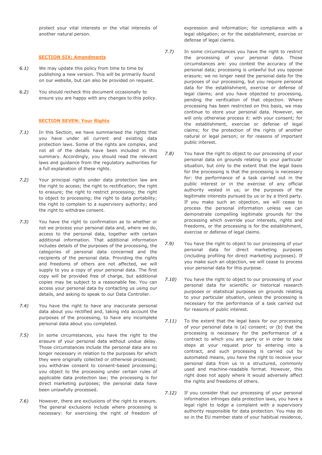protect your vital interests or the vital interests of another natural person.

## **SECTION SIX: Amendments**

- *6.1)* We may update this policy from time to time by publishing a new version. This will be primarily found on our website, but can also be provided on request.
- *6.2)* You should recheck this document occasionally to ensure you are happy with any changes to this policy.

## **SECTION SEVEN: Your Rights**

- *7.1)* In this Section, we have summarised the rights that you have under all current and existing data protection laws. Some of the rights are complex, and not all of the details have been included in this summary. Accordingly, you should read the relevant laws and guidance from the regulatory authorities for a full explanation of these rights.
- *7.2)* Your principal rights under data protection law are the right to access; the right to rectification; the right to erasure; the right to restrict processing; the right to object to processing; the right to data portability; the right to complain to a supervisory authority; and the right to withdraw consent.
- *7.3)* You have the right to confirmation as to whether or not we process your personal data and, where we do, access to the personal data, together with certain additional information. That additional information includes details of the purposes of the processing, the categories of personal data concerned and the recipients of the personal data. Providing the rights and freedoms of others are not affected, we will supply to you a copy of your personal data. The first copy will be provided free of charge, but additional copies may be subject to a reasonable fee. You can access your personal data by contacting us using our details, and asking to speak to our Data Controller.
- *7.4)* You have the right to have any inaccurate personal data about you rectified and, taking into account the purposes of the processing, to have any incomplete personal data about you completed.
- *7.5)* In some circumstances, you have the right to the erasure of your personal data without undue delay. Those circumstances include the personal data are no longer necessary in relation to the purposes for which they were originally collected or otherwise processed; you withdraw consent to consent-based processing; you object to the processing under certain rules of applicable data protection law; the processing is for direct marketing purposes; the personal data have been unlawfully processed.
- *7.6)* However, there are exclusions of the right to erasure. The general exclusions include where processing is necessary: for exercising the right of freedom of

expression and information; for compliance with a legal obligation; or for the establishment, exercise or defense of legal claims.

- *7.7)* In some circumstances you have the right to restrict the processing of your personal data. Those circumstances are: you contest the accuracy of the personal data; processing is unlawful but you oppose erasure; we no longer need the personal data for the purposes of our processing, but you require personal data for the establishment, exercise or defense of legal claims; and you have objected to processing, pending the verification of that objection. Where processing has been restricted on this basis, we may continue to store your personal data. However, we will only otherwise process it: with your consent; for the establishment, exercise or defense of legal claims; for the protection of the rights of another natural or legal person; or for reasons of important public interest.
- *7.8)* You have the right to object to our processing of your personal data on grounds relating to your particular situation, but only to the extent that the legal basis for the processing is that the processing is necessary for: the performance of a task carried out in the public interest or in the exercise of any official authority vested in us; or the purposes of the legitimate interests pursued by us or by a third party. If you make such an objection, we will cease to process the personal information unless we can demonstrate compelling legitimate grounds for the processing which override your interests, rights and freedoms, or the processing is for the establishment, exercise or defense of legal claims.
- *7.9)* You have the right to object to our processing of your personal data for direct marketing purposes (including profiling for direct marketing purposes). If you make such an objection, we will cease to process your personal data for this purpose.
- *7.10)* You have the right to object to our processing of your personal data for scientific or historical research purposes or statistical purposes on grounds relating to your particular situation, unless the processing is necessary for the performance of a task carried out for reasons of public interest.
- *7.11)* To the extent that the legal basis for our processing of your personal data is (a) consent; or (b) that the processing is necessary for the performance of a contract to which you are party or in order to take steps at your request prior to entering into a contract, and such processing is carried out by automated means, you have the right to receive your personal data from us in a structured, commonly used and machine-readable format. However, this right does not apply where it would adversely affect the rights and freedoms of others.
- *7.12)* If you consider that our processing of your personal information infringes data protection laws, you have a legal right to lodge a complaint with a supervisory authority responsible for data protection. You may do so in the EU member state of your habitual residence,